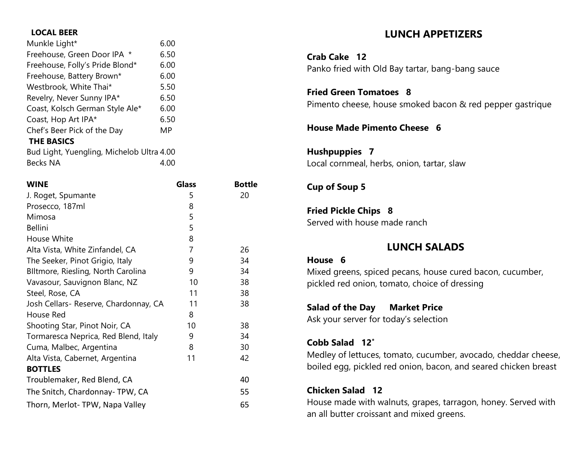### **LOCAL BEER**

| Munkle Light*                             | 6.00 |
|-------------------------------------------|------|
| Freehouse, Green Door IPA<br>$^\star$     | 6.50 |
| Freehouse, Folly's Pride Blond*           | 6.00 |
| Freehouse, Battery Brown*                 | 6.00 |
| Westbrook, White Thai*                    | 5.50 |
| Revelry, Never Sunny IPA*                 | 6.50 |
| Coast, Kolsch German Style Ale*           | 6.00 |
| Coast, Hop Art IPA*                       | 6.50 |
| Chef's Beer Pick of the Day               | MΡ   |
| <b>THE BASICS</b>                         |      |
| Bud Light, Yuengling, Michelob Ultra 4.00 |      |
| Becks NA                                  | 4.00 |

| <b>WINE</b>                           | <b>Glass</b> | <b>Bottle</b> |
|---------------------------------------|--------------|---------------|
| J. Roget, Spumante                    | 5            | 20            |
| Prosecco, 187ml                       | 8            |               |
| Mimosa                                | 5            |               |
| <b>Bellini</b>                        | 5            |               |
| House White                           | 8            |               |
| Alta Vista, White Zinfandel, CA       | 7            | 26            |
| The Seeker, Pinot Grigio, Italy       | 9            | 34            |
| Blltmore, Riesling, North Carolina    | 9            | 34            |
| Vavasour, Sauvignon Blanc, NZ         | 10           | 38            |
| Steel, Rose, CA                       | 11           | 38            |
| Josh Cellars- Reserve, Chardonnay, CA | 11           | 38            |
| House Red                             | 8            |               |
| Shooting Star, Pinot Noir, CA         | 10           | 38            |
| Tormaresca Neprica, Red Blend, Italy  | 9            | 34            |
| Cuma, Malbec, Argentina               | 8            | 30            |
| Alta Vista, Cabernet, Argentina       | 11           | 42            |
| <b>BOTTLES</b>                        |              |               |
| Troublemaker, Red Blend, CA           |              | 40            |
| The Snitch, Chardonnay-TPW, CA        |              | 55            |
| Thorn, Merlot-TPW, Napa Valley        |              | 65            |

# **LUNCH APPETIZERS**

**Crab Cake 12** Panko fried with Old Bay tartar, bang-bang sauce

**Fried Green Tomatoes 8** Pimento cheese, house smoked bacon & red pepper gastrique

## **House Made Pimento Cheese 6**

**Hushpuppies 7** Local cornmeal, herbs, onion, tartar, slaw

## **Cup of Soup 5**

**Fried Pickle Chips 8** Served with house made ranch

# **LUNCH SALADS**

### **House 6**

Mixed greens, spiced pecans, house cured bacon, cucumber, pickled red onion, tomato, choice of dressing

## **Salad of the Day Market Price**

Ask your server for today's selection

## **Cobb Salad 12\***

Medley of lettuces, tomato, cucumber, avocado, cheddar cheese, boiled egg, pickled red onion, bacon, and seared chicken breast

# **Chicken Salad 12**

House made with walnuts, grapes, tarragon, honey. Served with an all butter croissant and mixed greens.